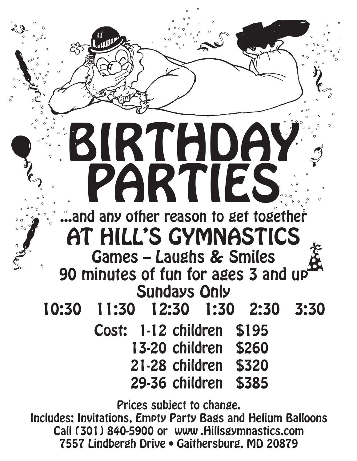

**7557 Lindbergh Drive • Gaithersburg, MD 20879**